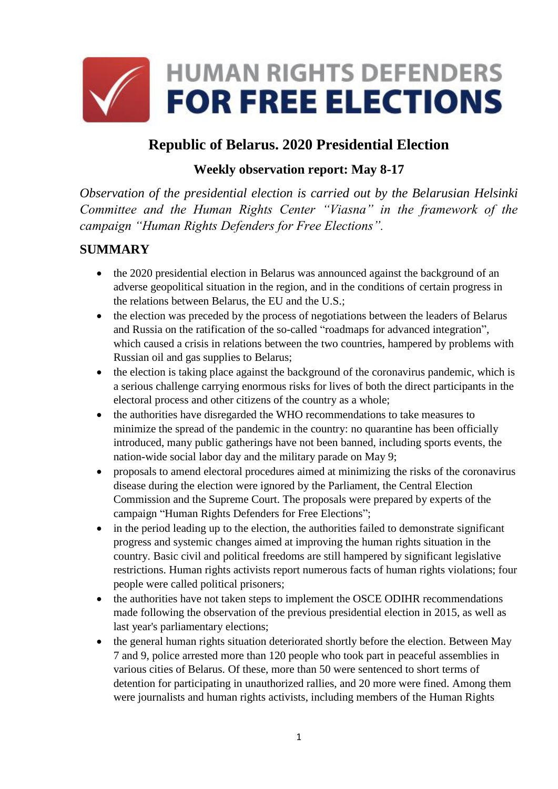

# **Republic of Belarus. 2020 Presidential Election**

## **Weekly observation report: May 8-17**

*Observation of the presidential election is carried out by the Belarusian Helsinki Committee and the Human Rights Center "Viasna" in the framework of the campaign "Human Rights Defenders for Free Elections".*

## **SUMMARY**

- the 2020 presidential election in Belarus was announced against the background of an adverse geopolitical situation in the region, and in the conditions of certain progress in the relations between Belarus, the EU and the U.S.;
- the election was preceded by the process of negotiations between the leaders of Belarus and Russia on the ratification of the so-called "roadmaps for advanced integration", which caused a crisis in relations between the two countries, hampered by problems with Russian oil and gas supplies to Belarus;
- the election is taking place against the background of the coronavirus pandemic, which is a serious challenge carrying enormous risks for lives of both the direct participants in the electoral process and other citizens of the country as a whole;
- the authorities have disregarded the WHO recommendations to take measures to minimize the spread of the pandemic in the country: no quarantine has been officially introduced, many public gatherings have not been banned, including sports events, the nation-wide social labor day and the military parade on May 9;
- proposals to amend electoral procedures aimed at minimizing the risks of the coronavirus disease during the election were ignored by the Parliament, the Central Election Commission and the Supreme Court. The proposals were prepared by experts of the campaign "Human Rights Defenders for Free Elections";
- in the period leading up to the election, the authorities failed to demonstrate significant progress and systemic changes aimed at improving the human rights situation in the country. Basic civil and political freedoms are still hampered by significant legislative restrictions. Human rights activists report numerous facts of human rights violations; four people were called political prisoners;
- the authorities have not taken steps to implement the OSCE ODIHR recommendations made following the observation of the previous presidential election in 2015, as well as last year's parliamentary elections;
- the general human rights situation deteriorated shortly before the election. Between May 7 and 9, police arrested more than 120 people who took part in peaceful assemblies in various cities of Belarus. Of these, more than 50 were sentenced to short terms of detention for participating in unauthorized rallies, and 20 more were fined. Among them were journalists and human rights activists, including members of the Human Rights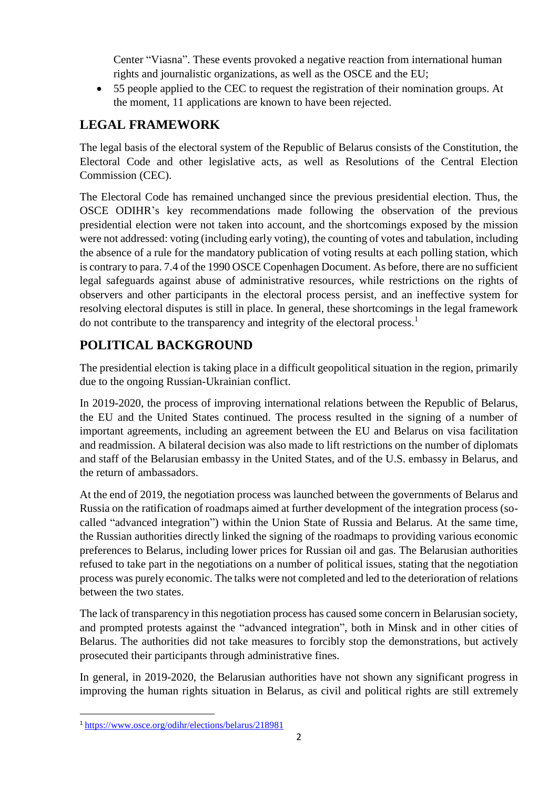Center "Viasna". These events provoked a negative reaction from international human rights and journalistic organizations, as well as the OSCE and the EU;

• 55 people applied to the CEC to request the registration of their nomination groups. At the moment, 11 applications are known to have been rejected.

## **LEGAL FRAMEWORK**

The legal basis of the electoral system of the Republic of Belarus consists of the Constitution, the Electoral Code and other legislative acts, as well as Resolutions of the Central Election Commission (CEC).

The Electoral Code has remained unchanged since the previous presidential election. Thus, the OSCE ODIHR's key recommendations made following the observation of the previous presidential election were not taken into account, and the shortcomings exposed by the mission were not addressed: voting (including early voting), the counting of votes and tabulation, including the absence of a rule for the mandatory publication of voting results at each polling station, which is contrary to para. 7.4 of the 1990 OSCE Copenhagen Document. As before, there are no sufficient legal safeguards against abuse of administrative resources, while restrictions on the rights of observers and other participants in the electoral process persist, and an ineffective system for resolving electoral disputes is still in place. In general, these shortcomings in the legal framework do not contribute to the transparency and integrity of the electoral process.<sup>1</sup>

# **POLITICAL BACKGROUND**

The presidential election is taking place in a difficult geopolitical situation in the region, primarily due to the ongoing Russian-Ukrainian conflict.

In 2019-2020, the process of improving international relations between the Republic of Belarus, the EU and the United States continued. The process resulted in the signing of a number of important agreements, including an agreement between the EU and Belarus on visa facilitation and readmission. A bilateral decision was also made to lift restrictions on the number of diplomats and staff of the Belarusian embassy in the United States, and of the U.S. embassy in Belarus, and the return of ambassadors.

At the end of 2019, the negotiation process was launched between the governments of Belarus and Russia on the ratification of roadmaps aimed at further development of the integration process (socalled "advanced integration") within the Union State of Russia and Belarus. At the same time, the Russian authorities directly linked the signing of the roadmaps to providing various economic preferences to Belarus, including lower prices for Russian oil and gas. The Belarusian authorities refused to take part in the negotiations on a number of political issues, stating that the negotiation process was purely economic. The talks were not completed and led to the deterioration of relations between the two states.

The lack of transparency in this negotiation process has caused some concern in Belarusian society, and prompted protests against the "advanced integration", both in Minsk and in other cities of Belarus. The authorities did not take measures to forcibly stop the demonstrations, but actively prosecuted their participants through administrative fines.

In general, in 2019-2020, the Belarusian authorities have not shown any significant progress in improving the human rights situation in Belarus, as civil and political rights are still extremely

**<sup>.</sup>** <sup>1</sup> <https://www.osce.org/odihr/elections/belarus/218981>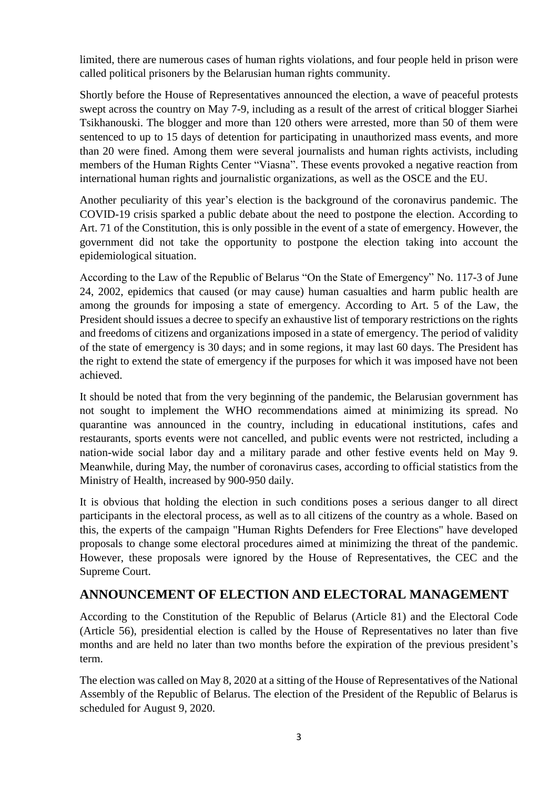limited, there are numerous cases of human rights violations, and four people held in prison were called political prisoners by the Belarusian human rights community.

Shortly before the House of Representatives announced the election, a wave of peaceful protests swept across the country on May 7-9, including as a result of the arrest of critical blogger Siarhei Tsikhanouski. The blogger and more than 120 others were arrested, more than 50 of them were sentenced to up to 15 days of detention for participating in unauthorized mass events, and more than 20 were fined. Among them were several journalists and human rights activists, including members of the Human Rights Center "Viasna". These events provoked a negative reaction from international human rights and journalistic organizations, as well as the OSCE and the EU.

Another peculiarity of this year's election is the background of the coronavirus pandemic. The COVID-19 crisis sparked a public debate about the need to postpone the election. According to Art. 71 of the Constitution, this is only possible in the event of a state of emergency. However, the government did not take the opportunity to postpone the election taking into account the epidemiological situation.

According to the Law of the Republic of Belarus "On the State of Emergency" No. 117-3 of June 24, 2002, epidemics that caused (or may cause) human casualties and harm public health are among the grounds for imposing a state of emergency. According to Art. 5 of the Law, the President should issues a decree to specify an exhaustive list of temporary restrictions on the rights and freedoms of citizens and organizations imposed in a state of emergency. The period of validity of the state of emergency is 30 days; and in some regions, it may last 60 days. The President has the right to extend the state of emergency if the purposes for which it was imposed have not been achieved.

It should be noted that from the very beginning of the pandemic, the Belarusian government has not sought to implement the WHO recommendations aimed at minimizing its spread. No quarantine was announced in the country, including in educational institutions, cafes and restaurants, sports events were not cancelled, and public events were not restricted, including a nation-wide social labor day and a military parade and other festive events held on May 9. Meanwhile, during May, the number of coronavirus cases, according to official statistics from the Ministry of Health, increased by 900-950 daily.

It is obvious that holding the election in such conditions poses a serious danger to all direct participants in the electoral process, as well as to all citizens of the country as a whole. Based on this, the experts of the campaign "Human Rights Defenders for Free Elections" have developed proposals to change some electoral procedures aimed at minimizing the threat of the pandemic. However, these proposals were ignored by the House of Representatives, the CEC and the Supreme Court.

#### **ANNOUNCEMENT OF ELECTION AND ELECTORAL MANAGEMENT**

According to the Constitution of the Republic of Belarus (Article 81) and the Electoral Code (Article 56), presidential election is called by the House of Representatives no later than five months and are held no later than two months before the expiration of the previous president's term.

The election was called on May 8, 2020 at a sitting of the House of Representatives of the National Assembly of the Republic of Belarus. The election of the President of the Republic of Belarus is scheduled for August 9, 2020.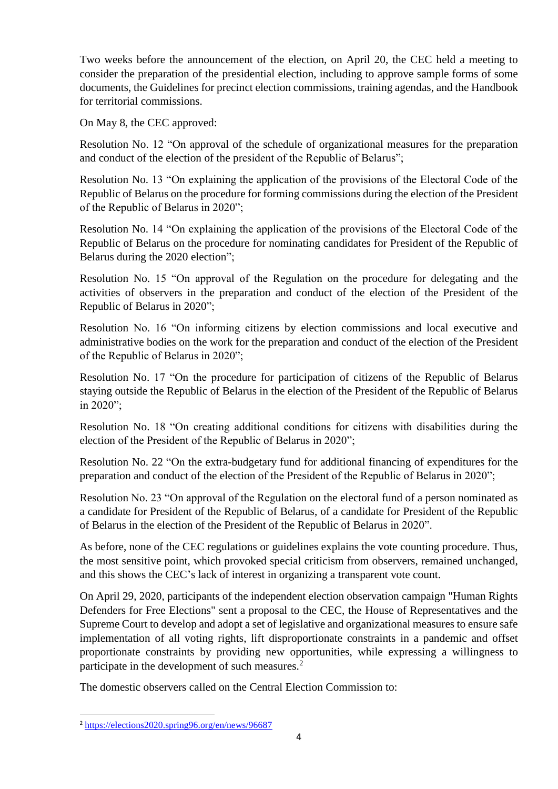Two weeks before the announcement of the election, on April 20, the CEC held a meeting to consider the preparation of the presidential election, including to approve sample forms of some documents, the Guidelines for precinct election commissions, training agendas, and the Handbook for territorial commissions.

On May 8, the CEC approved:

Resolution No. 12 "On approval of the schedule of organizational measures for the preparation and conduct of the election of the president of the Republic of Belarus";

Resolution No. 13 "On explaining the application of the provisions of the Electoral Code of the Republic of Belarus on the procedure for forming commissions during the election of the President of the Republic of Belarus in 2020";

Resolution No. 14 "On explaining the application of the provisions of the Electoral Code of the Republic of Belarus on the procedure for nominating candidates for President of the Republic of Belarus during the 2020 election";

Resolution No. 15 "On approval of the Regulation on the procedure for delegating and the activities of observers in the preparation and conduct of the election of the President of the Republic of Belarus in 2020";

Resolution No. 16 "On informing citizens by election commissions and local executive and administrative bodies on the work for the preparation and conduct of the election of the President of the Republic of Belarus in 2020";

Resolution No. 17 "On the procedure for participation of citizens of the Republic of Belarus staying outside the Republic of Belarus in the election of the President of the Republic of Belarus in 2020";

Resolution No. 18 "On creating additional conditions for citizens with disabilities during the election of the President of the Republic of Belarus in 2020";

Resolution No. 22 "On the extra-budgetary fund for additional financing of expenditures for the preparation and conduct of the election of the President of the Republic of Belarus in 2020";

Resolution No. 23 "On approval of the Regulation on the electoral fund of a person nominated as a candidate for President of the Republic of Belarus, of a candidate for President of the Republic of Belarus in the election of the President of the Republic of Belarus in 2020".

As before, none of the CEC regulations or guidelines explains the vote counting procedure. Thus, the most sensitive point, which provoked special criticism from observers, remained unchanged, and this shows the CEC's lack of interest in organizing a transparent vote count.

On April 29, 2020, participants of the independent election observation campaign "Human Rights Defenders for Free Elections" sent a proposal to the CEC, the House of Representatives and the Supreme Court to develop and adopt a set of legislative and organizational measures to ensure safe implementation of all voting rights, lift disproportionate constraints in a pandemic and offset proportionate constraints by providing new opportunities, while expressing a willingness to participate in the development of such measures.<sup>2</sup>

The domestic observers called on the Central Election Commission to:

**<sup>.</sup>** <sup>2</sup> <https://elections2020.spring96.org/en/news/96687>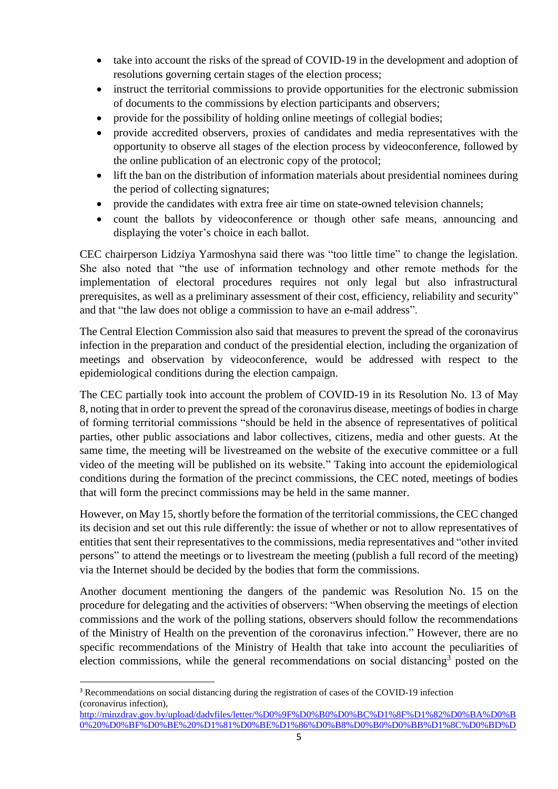- take into account the risks of the spread of COVID-19 in the development and adoption of resolutions governing certain stages of the election process;
- instruct the territorial commissions to provide opportunities for the electronic submission of documents to the commissions by election participants and observers;
- provide for the possibility of holding online meetings of collegial bodies;
- provide accredited observers, proxies of candidates and media representatives with the opportunity to observe all stages of the election process by videoconference, followed by the online publication of an electronic copy of the protocol;
- lift the ban on the distribution of information materials about presidential nominees during the period of collecting signatures;
- provide the candidates with extra free air time on state-owned television channels;
- count the ballots by videoconference or though other safe means, announcing and displaying the voter's choice in each ballot.

CEC chairperson Lidziya Yarmoshyna said there was "too little time" to change the legislation. She also noted that "the use of information technology and other remote methods for the implementation of electoral procedures requires not only legal but also infrastructural prerequisites, as well as a preliminary assessment of their cost, efficiency, reliability and security" and that "the law does not oblige a commission to have an e-mail address".

The Central Election Commission also said that measures to prevent the spread of the coronavirus infection in the preparation and conduct of the presidential election, including the organization of meetings and observation by videoconference, would be addressed with respect to the epidemiological conditions during the election campaign.

The CEC partially took into account the problem of COVID-19 in its Resolution No. 13 of May 8, noting that in order to prevent the spread of the coronavirus disease, meetings of bodies in charge of forming territorial commissions "should be held in the absence of representatives of political parties, other public associations and labor collectives, citizens, media and other guests. At the same time, the meeting will be livestreamed on the website of the executive committee or a full video of the meeting will be published on its website." Taking into account the epidemiological conditions during the formation of the precinct commissions, the CEC noted, meetings of bodies that will form the precinct commissions may be held in the same manner.

However, on May 15, shortly before the formation of the territorial commissions, the CEC changed its decision and set out this rule differently: the issue of whether or not to allow representatives of entities that sent their representatives to the commissions, media representatives and "other invited persons" to attend the meetings or to livestream the meeting (publish a full record of the meeting) via the Internet should be decided by the bodies that form the commissions.

Another document mentioning the dangers of the pandemic was Resolution No. 15 on the procedure for delegating and the activities of observers: "When observing the meetings of election commissions and the work of the polling stations, observers should follow the recommendations of the Ministry of Health on the prevention of the coronavirus infection." However, there are no specific recommendations of the Ministry of Health that take into account the peculiarities of election commissions, while the general recommendations on social distancing<sup>3</sup> posted on the

**.** 

<sup>3</sup> Recommendations on social distancing during the registration of cases of the COVID-19 infection (coronavirus infection),

[http://minzdrav.gov.by/upload/dadvfiles/letter/%D0%9F%D0%B0%D0%BC%D1%8F%D1%82%D0%BA%D0%B](http://minzdrav.gov.by/upload/dadvfiles/letter/%D0%9F%D0%B0%D0%BC%D1%8F%D1%82%D0%BA%D0%B0%20%D0%BF%D0%BE%20%D1%81%D0%BE%D1%86%D0%B8%D0%B0%D0%BB%D1%8C%D0%BD%D0%BE%D0%BC%D1%83%20%D0%B4%D0%B8%D1%81%D1%82%D0%B0%D0%BD%D1%86%D0%B8%D1%80%D0%BE%D0%B2%D0%B0%D0%BD%D0%B8%D1%8E.pdf) [0%20%D0%BF%D0%BE%20%D1%81%D0%BE%D1%86%D0%B8%D0%B0%D0%BB%D1%8C%D0%BD%D](http://minzdrav.gov.by/upload/dadvfiles/letter/%D0%9F%D0%B0%D0%BC%D1%8F%D1%82%D0%BA%D0%B0%20%D0%BF%D0%BE%20%D1%81%D0%BE%D1%86%D0%B8%D0%B0%D0%BB%D1%8C%D0%BD%D0%BE%D0%BC%D1%83%20%D0%B4%D0%B8%D1%81%D1%82%D0%B0%D0%BD%D1%86%D0%B8%D1%80%D0%BE%D0%B2%D0%B0%D0%BD%D0%B8%D1%8E.pdf)